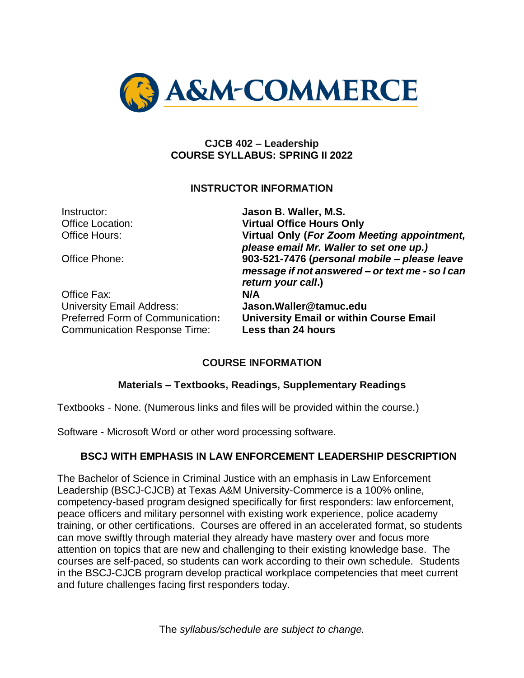

#### **CJCB 402 – Leadership COURSE SYLLABUS: SPRING II 2022**

#### **INSTRUCTOR INFORMATION**

| Instructor:                                                             | Jason B. Waller, M.S.                                                                                                 |
|-------------------------------------------------------------------------|-----------------------------------------------------------------------------------------------------------------------|
| <b>Office Location:</b>                                                 | <b>Virtual Office Hours Only</b>                                                                                      |
| Office Hours:                                                           | Virtual Only (For Zoom Meeting appointment,<br>please email Mr. Waller to set one up.)                                |
| Office Phone:                                                           | 903-521-7476 (personal mobile - please leave<br>message if not answered - or text me - so I can<br>return your call.) |
| Office Fax:                                                             | N/A                                                                                                                   |
| <b>University Email Address:</b>                                        | Jason. Waller@tamuc.edu                                                                                               |
| Preferred Form of Communication:<br><b>Communication Response Time:</b> | <b>University Email or within Course Email</b><br>Less than 24 hours                                                  |

## **COURSE INFORMATION**

## **Materials – Textbooks, Readings, Supplementary Readings**

Textbooks - None. (Numerous links and files will be provided within the course.)

Software - Microsoft Word or other word processing software.

## **BSCJ WITH EMPHASIS IN LAW ENFORCEMENT LEADERSHIP DESCRIPTION**

The Bachelor of Science in Criminal Justice with an emphasis in Law Enforcement Leadership (BSCJ-CJCB) at Texas A&M University-Commerce is a 100% online, competency-based program designed specifically for first responders: law enforcement, peace officers and military personnel with existing work experience, police academy training, or other certifications. Courses are offered in an accelerated format, so students can move swiftly through material they already have mastery over and focus more attention on topics that are new and challenging to their existing knowledge base. The courses are self-paced, so students can work according to their own schedule. Students in the BSCJ-CJCB program develop practical workplace competencies that meet current and future challenges facing first responders today.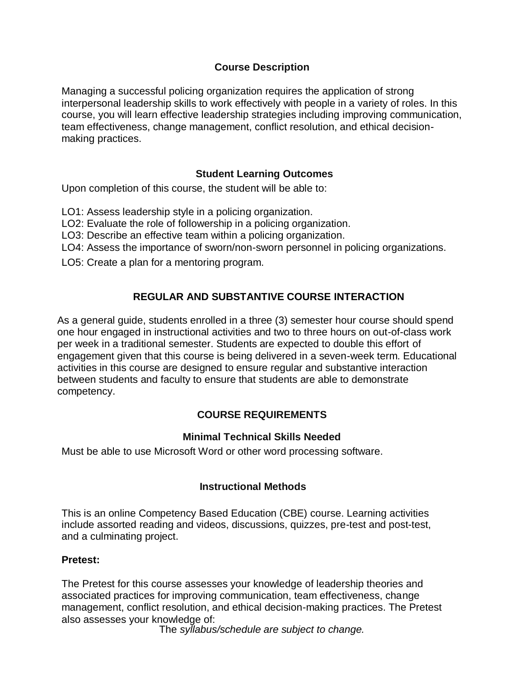## **Course Description**

Managing a successful policing organization requires the application of strong interpersonal leadership skills to work effectively with people in a variety of roles. In this course, you will learn effective leadership strategies including improving communication, team effectiveness, change management, conflict resolution, and ethical decisionmaking practices.

#### **Student Learning Outcomes**

Upon completion of this course, the student will be able to:

- LO1: Assess leadership style in a policing organization.
- LO2: Evaluate the role of followership in a policing organization.
- LO3: Describe an effective team within a policing organization.
- LO4: Assess the importance of sworn/non-sworn personnel in policing organizations.
- LO5: Create a plan for a mentoring program.

# **REGULAR AND SUBSTANTIVE COURSE INTERACTION**

As a general guide, students enrolled in a three (3) semester hour course should spend one hour engaged in instructional activities and two to three hours on out-of-class work per week in a traditional semester. Students are expected to double this effort of engagement given that this course is being delivered in a seven-week term. Educational activities in this course are designed to ensure regular and substantive interaction between students and faculty to ensure that students are able to demonstrate competency.

## **COURSE REQUIREMENTS**

## **Minimal Technical Skills Needed**

Must be able to use Microsoft Word or other word processing software.

## **Instructional Methods**

This is an online Competency Based Education (CBE) course. Learning activities include assorted reading and videos, discussions, quizzes, pre-test and post-test, and a culminating project.

#### **Pretest:**

The Pretest for this course assesses your knowledge of leadership theories and associated practices for improving communication, team effectiveness, change management, conflict resolution, and ethical decision-making practices. The Pretest also assesses your knowledge of: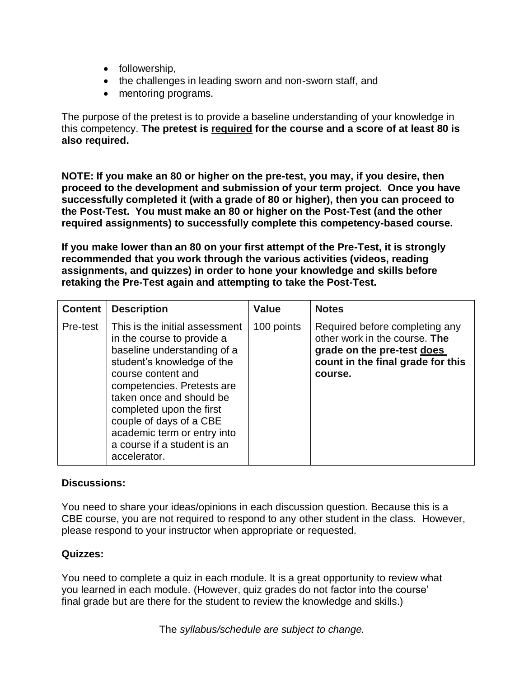- followership,
- the challenges in leading sworn and non-sworn staff, and
- mentoring programs.

The purpose of the pretest is to provide a baseline understanding of your knowledge in this competency. **The pretest is required for the course and a score of at least 80 is also required.**

**NOTE: If you make an 80 or higher on the pre-test, you may, if you desire, then proceed to the development and submission of your term project. Once you have successfully completed it (with a grade of 80 or higher), then you can proceed to the Post-Test. You must make an 80 or higher on the Post-Test (and the other required assignments) to successfully complete this competency-based course.**

**If you make lower than an 80 on your first attempt of the Pre-Test, it is strongly recommended that you work through the various activities (videos, reading assignments, and quizzes) in order to hone your knowledge and skills before retaking the Pre-Test again and attempting to take the Post-Test.** 

| <b>Content</b> | <b>Description</b>                                                                                                                                                                                                                                                                                                                             | <b>Value</b> | <b>Notes</b>                                                                                                                                  |
|----------------|------------------------------------------------------------------------------------------------------------------------------------------------------------------------------------------------------------------------------------------------------------------------------------------------------------------------------------------------|--------------|-----------------------------------------------------------------------------------------------------------------------------------------------|
| Pre-test       | This is the initial assessment<br>in the course to provide a<br>baseline understanding of a<br>student's knowledge of the<br>course content and<br>competencies. Pretests are<br>taken once and should be<br>completed upon the first<br>couple of days of a CBE<br>academic term or entry into<br>a course if a student is an<br>accelerator. | 100 points   | Required before completing any<br>other work in the course. The<br>grade on the pre-test does<br>count in the final grade for this<br>course. |

#### **Discussions:**

You need to share your ideas/opinions in each discussion question. Because this is a CBE course, you are not required to respond to any other student in the class. However, please respond to your instructor when appropriate or requested.

#### **Quizzes:**

You need to complete a quiz in each module. It is a great opportunity to review what you learned in each module. (However, quiz grades do not factor into the course' final grade but are there for the student to review the knowledge and skills.)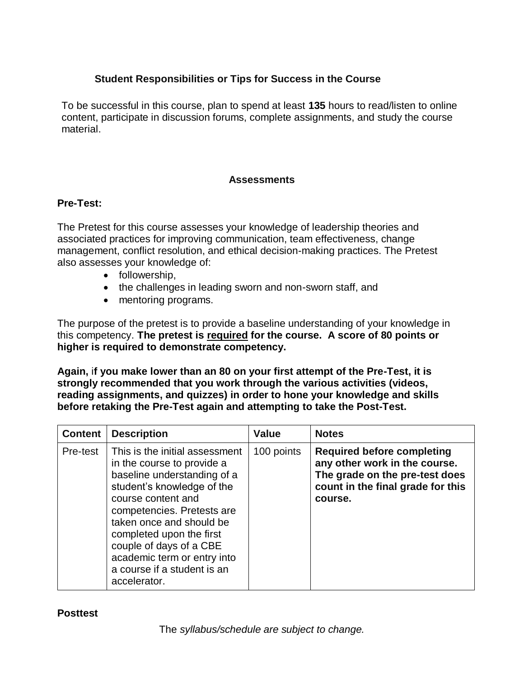# **Student Responsibilities or Tips for Success in the Course**

To be successful in this course, plan to spend at least **135** hours to read/listen to online content, participate in discussion forums, complete assignments, and study the course material.

#### **Assessments**

#### **Pre-Test:**

The Pretest for this course assesses your knowledge of leadership theories and associated practices for improving communication, team effectiveness, change management, conflict resolution, and ethical decision-making practices. The Pretest also assesses your knowledge of:

- followership,
- the challenges in leading sworn and non-sworn staff, and
- mentoring programs.

The purpose of the pretest is to provide a baseline understanding of your knowledge in this competency. **The pretest is required for the course. A score of 80 points or higher is required to demonstrate competency.**

**Again,** i**f you make lower than an 80 on your first attempt of the Pre-Test, it is strongly recommended that you work through the various activities (videos, reading assignments, and quizzes) in order to hone your knowledge and skills before retaking the Pre-Test again and attempting to take the Post-Test.** 

| <b>Content</b> | <b>Description</b>                                                                                                                                                                                                                                                                                                                             | <b>Value</b> | <b>Notes</b>                                                                                                                                         |
|----------------|------------------------------------------------------------------------------------------------------------------------------------------------------------------------------------------------------------------------------------------------------------------------------------------------------------------------------------------------|--------------|------------------------------------------------------------------------------------------------------------------------------------------------------|
| Pre-test       | This is the initial assessment<br>in the course to provide a<br>baseline understanding of a<br>student's knowledge of the<br>course content and<br>competencies. Pretests are<br>taken once and should be<br>completed upon the first<br>couple of days of a CBE<br>academic term or entry into<br>a course if a student is an<br>accelerator. | 100 points   | <b>Required before completing</b><br>any other work in the course.<br>The grade on the pre-test does<br>count in the final grade for this<br>course. |

#### **Posttest**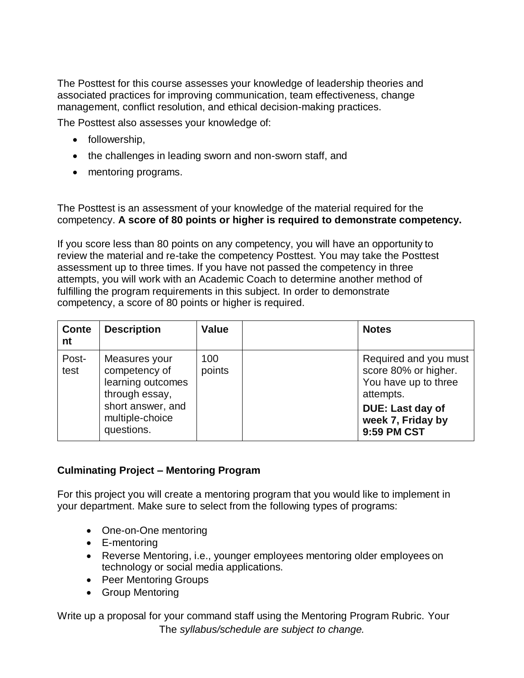The Posttest for this course assesses your knowledge of leadership theories and associated practices for improving communication, team effectiveness, change management, conflict resolution, and ethical decision-making practices.

The Posttest also assesses your knowledge of:

- followership,
- the challenges in leading sworn and non-sworn staff, and
- mentoring programs.

The Posttest is an assessment of your knowledge of the material required for the competency. **A score of 80 points or higher is required to demonstrate competency.**

If you score less than 80 points on any competency, you will have an opportunity to review the material and re-take the competency Posttest. You may take the Posttest assessment up to three times. If you have not passed the competency in three attempts, you will work with an Academic Coach to determine another method of fulfilling the program requirements in this subject. In order to demonstrate competency, a score of 80 points or higher is required.

| <b>Conte</b><br>nt | <b>Description</b>                                                                                                          | <b>Value</b>  | <b>Notes</b>                                                                                                                               |
|--------------------|-----------------------------------------------------------------------------------------------------------------------------|---------------|--------------------------------------------------------------------------------------------------------------------------------------------|
| Post-<br>test      | Measures your<br>competency of<br>learning outcomes<br>through essay,<br>short answer, and<br>multiple-choice<br>questions. | 100<br>points | Required and you must<br>score 80% or higher.<br>You have up to three<br>attempts.<br>DUE: Last day of<br>week 7, Friday by<br>9:59 PM CST |

## **Culminating Project – Mentoring Program**

For this project you will create a mentoring program that you would like to implement in your department. Make sure to select from the following types of programs:

- One-on-One mentoring
- E-mentoring
- Reverse Mentoring, i.e., younger employees mentoring older employees on technology or social media applications.
- Peer Mentoring Groups
- Group Mentoring

The *syllabus/schedule are subject to change.* Write up a proposal for your command staff using the Mentoring Program Rubric. Your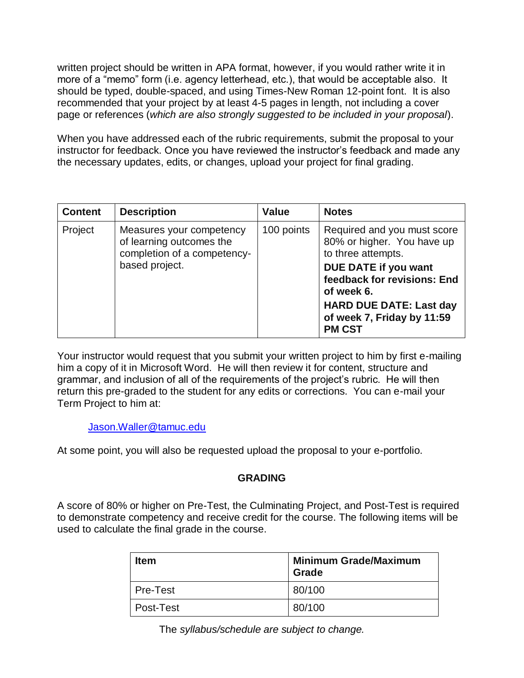written project should be written in APA format, however, if you would rather write it in more of a "memo" form (i.e. agency letterhead, etc.), that would be acceptable also. It should be typed, double-spaced, and using Times-New Roman 12-point font. It is also recommended that your project by at least 4-5 pages in length, not including a cover page or references (*which are also strongly suggested to be included in your proposal*).

When you have addressed each of the rubric requirements, submit the proposal to your instructor for feedback. Once you have reviewed the instructor's feedback and made any the necessary updates, edits, or changes, upload your project for final grading.

| <b>Content</b> | <b>Description</b>                                                                  | <b>Value</b> | <b>Notes</b>                                                                    |
|----------------|-------------------------------------------------------------------------------------|--------------|---------------------------------------------------------------------------------|
| Project        | Measures your competency<br>of learning outcomes the<br>completion of a competency- | 100 points   | Required and you must score<br>80% or higher. You have up<br>to three attempts. |
|                | based project.                                                                      |              | DUE DATE if you want<br>feedback for revisions: End<br>of week 6.               |
|                |                                                                                     |              | <b>HARD DUE DATE: Last day</b><br>of week 7, Friday by 11:59<br><b>PM CST</b>   |

Your instructor would request that you submit your written project to him by first e-mailing him a copy of it in Microsoft Word. He will then review it for content, structure and grammar, and inclusion of all of the requirements of the project's rubric. He will then return this pre-graded to the student for any edits or corrections. You can e-mail your Term Project to him at:

[Jason.Waller@tamuc.edu](mailto:Jason.Waller@tamuc.edu)

At some point, you will also be requested upload the proposal to your e-portfolio.

## **GRADING**

A score of 80% or higher on Pre-Test, the Culminating Project, and Post-Test is required to demonstrate competency and receive credit for the course. The following items will be used to calculate the final grade in the course.

| <b>Item</b> | <b>Minimum Grade/Maximum</b><br><b>Grade</b> |
|-------------|----------------------------------------------|
| Pre-Test    | 80/100                                       |
| l Post-Test | 80/100                                       |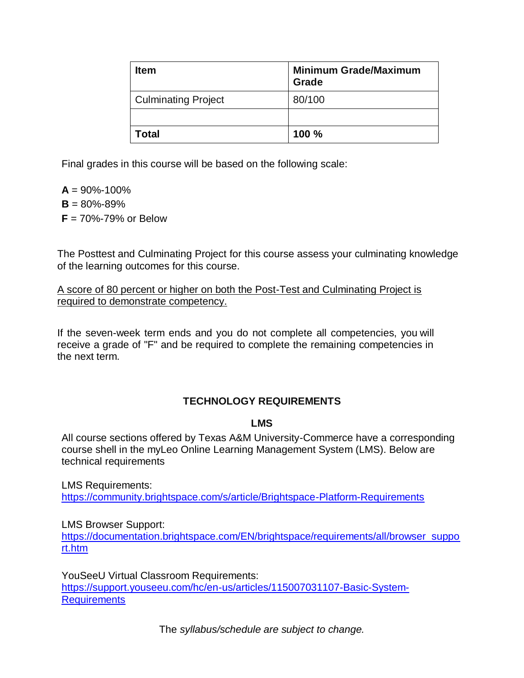| <b>Item</b>                | <b>Minimum Grade/Maximum</b><br><b>Grade</b> |
|----------------------------|----------------------------------------------|
| <b>Culminating Project</b> | 80/100                                       |
|                            |                                              |
| Total                      | 100 %                                        |

Final grades in this course will be based on the following scale:

 $A = 90\% - 100\%$  $B = 80\% - 89\%$ **F** = 70%-79% or Below

The Posttest and Culminating Project for this course assess your culminating knowledge of the learning outcomes for this course.

A score of 80 percent or higher on both the Post-Test and Culminating Project is required to demonstrate competency.

If the seven-week term ends and you do not complete all competencies, you will receive a grade of "F" and be required to complete the remaining competencies in the next term.

# **TECHNOLOGY REQUIREMENTS**

## **LMS**

All course sections offered by Texas A&M University-Commerce have a corresponding course shell in the myLeo Online Learning Management System (LMS). Below are technical requirements

LMS Requirements: <https://community.brightspace.com/s/article/Brightspace-Platform-Requirements>

LMS Browser Support:

[https://documentation.brightspace.com/EN/brightspace/requirements/all/browser\\_suppo](https://documentation.brightspace.com/EN/brightspace/requirements/all/browser_support.htm) [rt.htm](https://documentation.brightspace.com/EN/brightspace/requirements/all/browser_support.htm)

YouSeeU Virtual Classroom Requirements: [https://support.youseeu.com/hc/en-us/articles/115007031107-Basic-System-](https://support.youseeu.com/hc/en-us/articles/115007031107-Basic-System-Requirements)**[Requirements](https://support.youseeu.com/hc/en-us/articles/115007031107-Basic-System-Requirements)**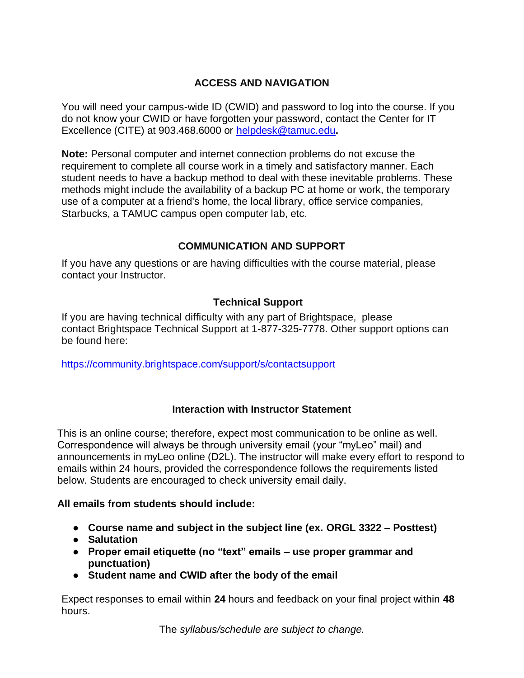# **ACCESS AND NAVIGATION**

You will need your campus-wide ID (CWID) and password to log into the course. If you do not know your CWID or have forgotten your password, contact the Center for IT Excellence (CITE) at 903.468.6000 or [helpdesk@tamuc.edu](mailto:helpdesk@tamuc.edu)**.**

**Note:** Personal computer and internet connection problems do not excuse the requirement to complete all course work in a timely and satisfactory manner. Each student needs to have a backup method to deal with these inevitable problems. These methods might include the availability of a backup PC at home or work, the temporary use of a computer at a friend's home, the local library, office service companies, Starbucks, a TAMUC campus open computer lab, etc.

# **COMMUNICATION AND SUPPORT**

If you have any questions or are having difficulties with the course material, please contact your Instructor.

# **Technical Support**

If you are having technical difficulty with any part of Brightspace, please contact Brightspace Technical Support at 1-877-325-7778. Other support options can be found here:

<https://community.brightspace.com/support/s/contactsupport>

## **Interaction with Instructor Statement**

This is an online course; therefore, expect most communication to be online as well. Correspondence will always be through university email (your "myLeo" mail) and announcements in myLeo online (D2L). The instructor will make every effort to respond to emails within 24 hours, provided the correspondence follows the requirements listed below. Students are encouraged to check university email daily.

## **All emails from students should include:**

- **Course name and subject in the subject line (ex. ORGL 3322 – Posttest)**
- **Salutation**
- **Proper email etiquette (no "text" emails – use proper grammar and punctuation)**
- **Student name and CWID after the body of the email**

Expect responses to email within **24** hours and feedback on your final project within **48** hours.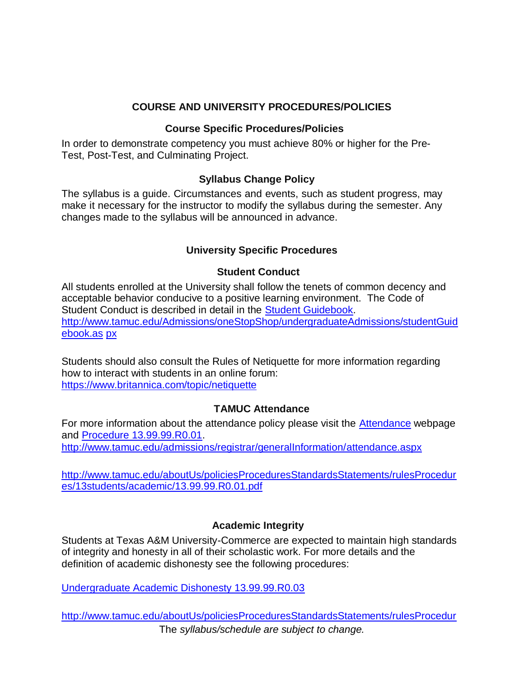#### **COURSE AND UNIVERSITY PROCEDURES/POLICIES**

#### **Course Specific Procedures/Policies**

In order to demonstrate competency you must achieve 80% or higher for the Pre-Test, Post-Test, and Culminating Project.

#### **Syllabus Change Policy**

The syllabus is a guide. Circumstances and events, such as student progress, may make it necessary for the instructor to modify the syllabus during the semester. Any changes made to the syllabus will be announced in advance.

# **University Specific Procedures**

## **Student Conduct**

All students enrolled at the University shall follow the tenets of common decency and acceptable behavior conducive to a positive learning environment. The Code of Student Conduct is described in detail in the [Student Guidebook.](http://www.tamuc.edu/Admissions/oneStopShop/undergraduateAdmissions/studentGuidebook.aspx) [http://www.tamuc.edu/Admissions/oneStopShop/undergraduateAdmissions/studentGuid](http://www.tamuc.edu/Admissions/oneStopShop/undergraduateAdmissions/studentGuidebook.aspx) [ebook.as](http://www.tamuc.edu/Admissions/oneStopShop/undergraduateAdmissions/studentGuidebook.aspx) [px](http://www.tamuc.edu/Admissions/oneStopShop/undergraduateAdmissions/studentGuidebook.aspx)

Students should also consult the Rules of Netiquette for more information regarding how to interact with students in an online forum: <https://www.britannica.com/topic/netiquette>

## **TAMUC Attendance**

For more information about the attendance policy please visit the **Attendance** webpage and [Procedure 13.99.99.R0.01.](http://www.tamuc.edu/aboutUs/policiesProceduresStandardsStatements/rulesProcedures/13students/academic/13.99.99.R0.01.pdf)

<http://www.tamuc.edu/admissions/registrar/generalInformation/attendance.aspx>

[http://www.tamuc.edu/aboutUs/policiesProceduresStandardsStatements/rulesProcedur](http://www.tamuc.edu/aboutUs/policiesProceduresStandardsStatements/rulesProcedures/13students/academic/13.99.99.R0.01.pdf) [es/13students/academic/13.99.99.R0.01.pdf](http://www.tamuc.edu/aboutUs/policiesProceduresStandardsStatements/rulesProcedures/13students/academic/13.99.99.R0.01.pdf)

## **Academic Integrity**

Students at Texas A&M University-Commerce are expected to maintain high standards of integrity and honesty in all of their scholastic work. For more details and the definition of academic dishonesty see the following procedures:

[Undergraduate Academic Dishonesty 13.99.99.R0.03](http://www.tamuc.edu/aboutUs/policiesProceduresStandardsStatements/rulesProcedures/13students/undergraduates/13.99.99.R0.03UndergraduateAcademicDishonesty.pdf)

The *syllabus/schedule are subject to change.* [http://www.tamuc.edu/aboutUs/policiesProceduresStandardsStatements/rulesProcedur](http://www.tamuc.edu/aboutUs/policiesProceduresStandardsStatements/rulesProcedures/13students/undergraduates/13.99.99.R0.03UndergraduateAcademicDishonesty.pdf)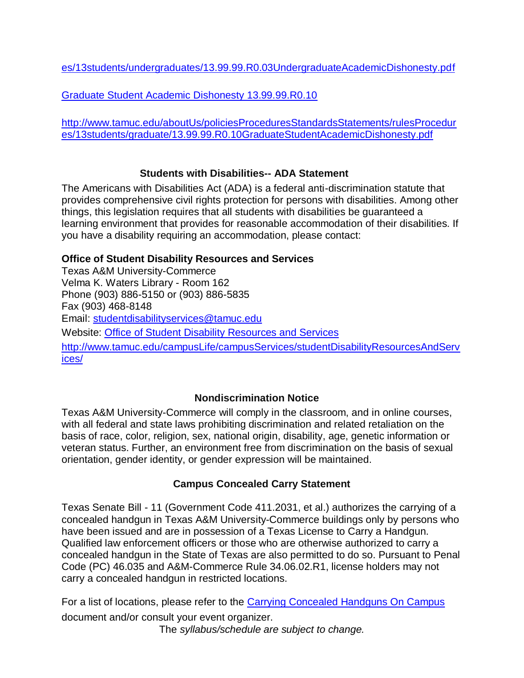[es/13students/undergraduates/13.99.99.R0.03UndergraduateAcademicDishonesty.pdf](http://www.tamuc.edu/aboutUs/policiesProceduresStandardsStatements/rulesProcedures/13students/undergraduates/13.99.99.R0.03UndergraduateAcademicDishonesty.pdf)

[Graduate Student Academic Dishonesty 13.99.99.R0.10](http://www.tamuc.edu/aboutUs/policiesProceduresStandardsStatements/rulesProcedures/13students/graduate/13.99.99.R0.10GraduateStudentAcademicDishonesty.pdf)

[http://www.tamuc.edu/aboutUs/policiesProceduresStandardsStatements/rulesProcedur](http://www.tamuc.edu/aboutUs/policiesProceduresStandardsStatements/rulesProcedures/13students/graduate/13.99.99.R0.10GraduateStudentAcademicDishonesty.pdf) [es/13students/graduate/13.99.99.R0.10GraduateStudentAcademicDishonesty.pdf](http://www.tamuc.edu/aboutUs/policiesProceduresStandardsStatements/rulesProcedures/13students/graduate/13.99.99.R0.10GraduateStudentAcademicDishonesty.pdf)

# **Students with Disabilities-- ADA Statement**

The Americans with Disabilities Act (ADA) is a federal anti-discrimination statute that provides comprehensive civil rights protection for persons with disabilities. Among other things, this legislation requires that all students with disabilities be guaranteed a learning environment that provides for reasonable accommodation of their disabilities. If you have a disability requiring an accommodation, please contact:

# **Office of Student Disability Resources and Services**

Texas A&M University-Commerce Velma K. Waters Library - Room 162 Phone (903) 886-5150 or (903) 886-5835 Fax (903) 468-8148 Email: [studentdisabilityservices@tamuc.edu](mailto:studentdisabilityservices@tamuc.edu) Website: [Office of Student Disability Resources and Services](http://www.tamuc.edu/campusLife/campusServices/studentDisabilityResourcesAndServices/) [http://www.tamuc.edu/campusLife/campusServices/studentDisabilityResourcesAndServ](http://www.tamuc.edu/campusLife/campusServices/studentDisabilityResourcesAndServices/) [ices/](http://www.tamuc.edu/campusLife/campusServices/studentDisabilityResourcesAndServices/)

# **Nondiscrimination Notice**

Texas A&M University-Commerce will comply in the classroom, and in online courses, with all federal and state laws prohibiting discrimination and related retaliation on the basis of race, color, religion, sex, national origin, disability, age, genetic information or veteran status. Further, an environment free from discrimination on the basis of sexual orientation, gender identity, or gender expression will be maintained.

# **Campus Concealed Carry Statement**

Texas Senate Bill - 11 (Government Code 411.2031, et al.) authorizes the carrying of a concealed handgun in Texas A&M University-Commerce buildings only by persons who have been issued and are in possession of a Texas License to Carry a Handgun. Qualified law enforcement officers or those who are otherwise authorized to carry a concealed handgun in the State of Texas are also permitted to do so. Pursuant to Penal Code (PC) 46.035 and A&M-Commerce Rule 34.06.02.R1, license holders may not carry a concealed handgun in restricted locations.

The *syllabus/schedule are subject to change.* For a list of locations, please refer to the [Carrying Concealed Handguns On Campus](http://www.tamuc.edu/aboutUs/policiesProceduresStandardsStatements/rulesProcedures/34SafetyOfEmployeesAndStudents/34.06.02.R1.pdf) document and/or consult your event organizer.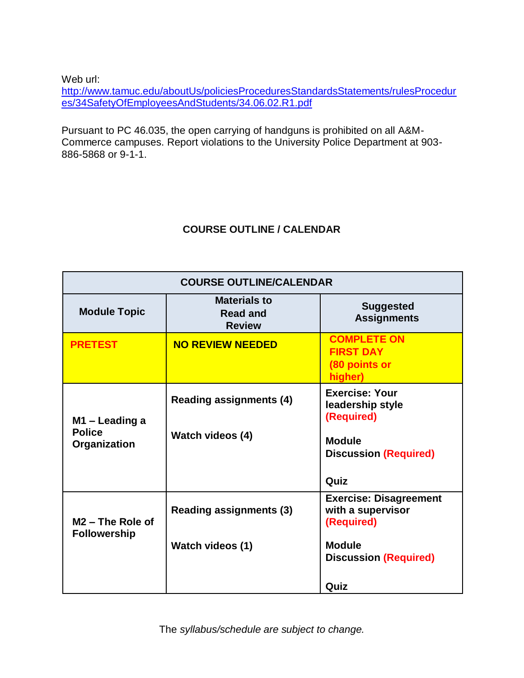Web url:

[http://www.tamuc.edu/aboutUs/policiesProceduresStandardsStatements/rulesProcedur](http://www.tamuc.edu/aboutUs/policiesProceduresStandardsStatements/rulesProcedures/34SafetyOfEmployeesAndStudents/34.06.02.R1.pdf) [es/34SafetyOfEmployeesAndStudents/34.06.02.R1.pdf](http://www.tamuc.edu/aboutUs/policiesProceduresStandardsStatements/rulesProcedures/34SafetyOfEmployeesAndStudents/34.06.02.R1.pdf)

Pursuant to PC 46.035, the open carrying of handguns is prohibited on all A&M-Commerce campuses. Report violations to the University Police Department at 903- 886-5868 or 9-1-1.

# **COURSE OUTLINE / CALENDAR**

| <b>COURSE OUTLINE/CALENDAR</b>                      |                                                         |                                                                    |
|-----------------------------------------------------|---------------------------------------------------------|--------------------------------------------------------------------|
| <b>Module Topic</b>                                 | <b>Materials to</b><br><b>Read and</b><br><b>Review</b> | <b>Suggested</b><br><b>Assignments</b>                             |
| <b>PRETEST</b>                                      | <b>NO REVIEW NEEDED</b>                                 | <b>COMPLETE ON</b><br><b>FIRST DAY</b><br>(80 points or<br>higher) |
| M1 – Leading a<br><b>Police</b><br>Organization     | <b>Reading assignments (4)</b>                          | <b>Exercise: Your</b><br>leadership style<br>(Required)            |
|                                                     | <b>Watch videos (4)</b>                                 | <b>Module</b><br><b>Discussion (Required)</b>                      |
|                                                     |                                                         | Quiz                                                               |
| M <sub>2</sub> – The Role of<br><b>Followership</b> | <b>Reading assignments (3)</b>                          | <b>Exercise: Disagreement</b><br>with a supervisor<br>(Required)   |
|                                                     | <b>Watch videos (1)</b>                                 | <b>Module</b><br><b>Discussion (Required)</b>                      |
|                                                     |                                                         | Quiz                                                               |